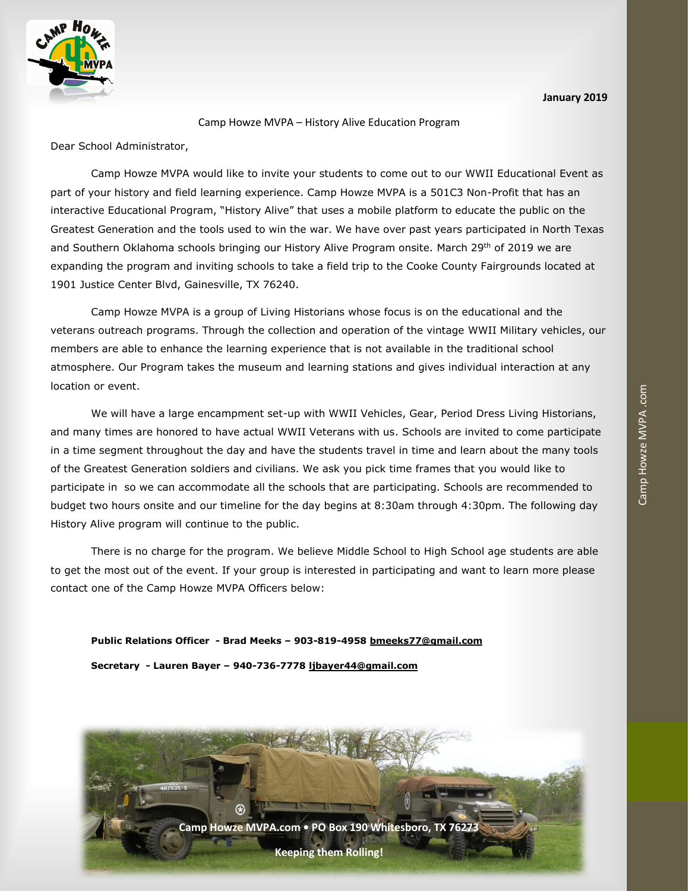



## Camp Howze MVPA – History Alive Education Program

Dear School Administrator,

Camp Howze MVPA would like to invite your students to come out to our WWII Educational Event as part of your history and field learning experience. Camp Howze MVPA is a 501C3 Non-Profit that has an interactive Educational Program, "History Alive" that uses a mobile platform to educate the public on the Greatest Generation and the tools used to win the war. We have over past years participated in North Texas and Southern Oklahoma schools bringing our History Alive Program onsite. March 29th of 2019 we are expanding the program and inviting schools to take a field trip to the Cooke County Fairgrounds located at 1901 Justice Center Blvd, Gainesville, TX 76240.

 members are able to enhance the learning experience that is not available in the traditional school Camp Howze MVPA is a group of Living Historians whose focus is on the educational and the veterans outreach programs. Through the collection and operation of the vintage WWII Military vehicles, our atmosphere. Our Program takes the museum and learning stations and gives individual interaction at any location or event.

We will have a large encampment set-up with WWII Vehicles, Gear, Period Dress Living Historians, and many times are honored to have actual WWII Veterans with us. Schools are invited to come participate in a time segment throughout the day and have the students travel in time and learn about the many tools of the Greatest Generation soldiers and civilians. We ask you pick time frames that you would like to participate in so we can accommodate all the schools that are participating. Schools are recommended to budget two hours onsite and our timeline for the day begins at 8:30am through 4:30pm. The following day History Alive program will continue to the public.

There is no charge for the program. We believe Middle School to High School age students are able to get the most out of the event. If your group is interested in participating and want to learn more please contact one of the Camp Howze MVPA Officers below:

**Public Relations Officer - Brad Meeks – 903-819-4958 [bmeeks77@gmail.com](mailto:bmeeks77@gmail.com) Secretary - Lauren Bayer – 940-736-7778 [ljbayer44@gmail.com](mailto:ljbayer44@gmail.com)**